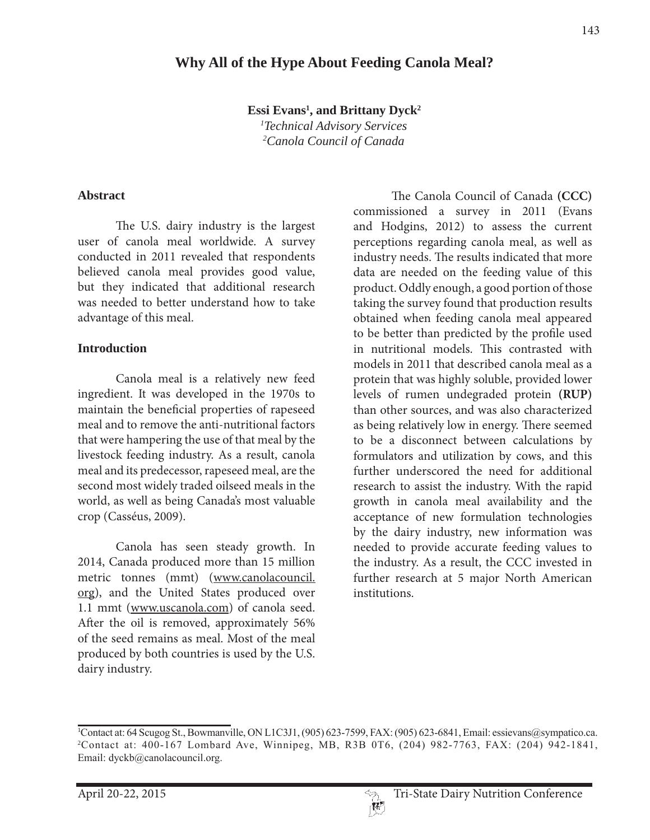## **Why All of the Hype About Feeding Canola Meal?**

**Essi Evans1 , and Brittany Dyck2**

*1 Technical Advisory Services 2 Canola Council of Canada*

#### **Abstract**

 The U.S. dairy industry is the largest user of canola meal worldwide. A survey conducted in 2011 revealed that respondents believed canola meal provides good value, but they indicated that additional research was needed to better understand how to take advantage of this meal.

#### **Introduction**

 Canola meal is a relatively new feed ingredient. It was developed in the 1970s to maintain the beneficial properties of rapeseed meal and to remove the anti-nutritional factors that were hampering the use of that meal by the livestock feeding industry. As a result, canola meal and its predecessor, rapeseed meal, are the second most widely traded oilseed meals in the world, as well as being Canada's most valuable crop (Casséus, 2009).

 Canola has seen steady growth. In 2014, Canada produced more than 15 million metric tonnes (mmt) (www.canolacouncil. org), and the United States produced over 1.1 mmt (www.uscanola.com) of canola seed. After the oil is removed, approximately 56% of the seed remains as meal. Most of the meal produced by both countries is used by the U.S. dairy industry.

 The Canola Council of Canada **(CCC)**  commissioned a survey in 2011 (Evans and Hodgins, 2012) to assess the current perceptions regarding canola meal, as well as industry needs. The results indicated that more data are needed on the feeding value of this product. Oddly enough, a good portion of those taking the survey found that production results obtained when feeding canola meal appeared to be better than predicted by the profile used in nutritional models. This contrasted with models in 2011 that described canola meal as a protein that was highly soluble, provided lower levels of rumen undegraded protein **(RUP)**  than other sources, and was also characterized as being relatively low in energy. There seemed to be a disconnect between calculations by formulators and utilization by cows, and this further underscored the need for additional research to assist the industry. With the rapid growth in canola meal availability and the acceptance of new formulation technologies by the dairy industry, new information was needed to provide accurate feeding values to the industry. As a result, the CCC invested in further research at 5 major North American institutions.

<sup>&</sup>lt;sup>1</sup>Contact at: 64 Scugog St., Bowmanville, ON L1C3J1, (905) 623-7599, FAX: (905) 623-6841, Email: essievans@sympatico.ca. 2Contact at: 400-167 Lombard Ave, Winnipeg, MB, R3B 0T6, (204) 982-7763, FAX: (204) 942-1841, Email: dyckb@canolacouncil.org.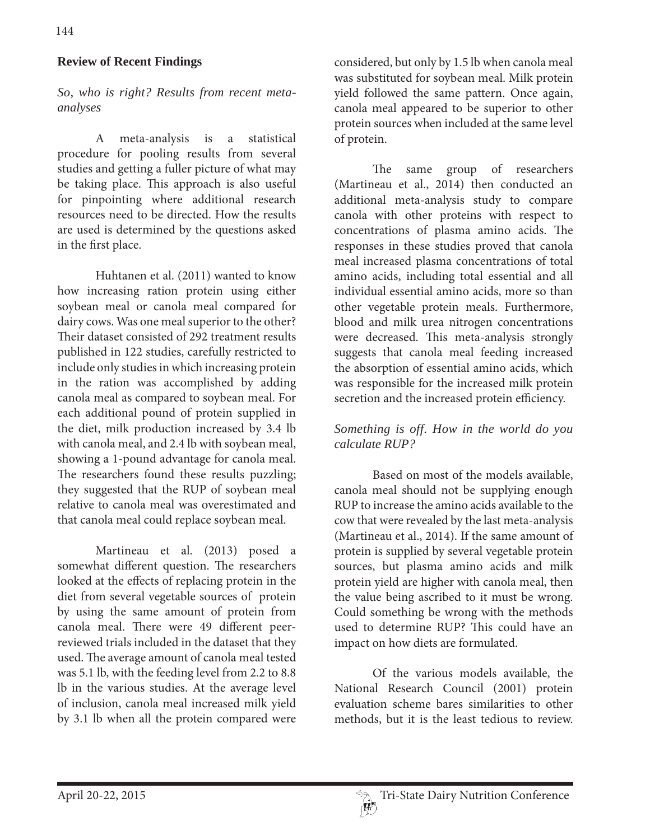### **Review of Recent Findings**

*So, who is right? Results from recent metaanalyses*

 A meta-analysis is a statistical procedure for pooling results from several studies and getting a fuller picture of what may be taking place. This approach is also useful for pinpointing where additional research resources need to be directed. How the results are used is determined by the questions asked in the first place.

 Huhtanen et al. (2011) wanted to know how increasing ration protein using either soybean meal or canola meal compared for dairy cows. Was one meal superior to the other? Their dataset consisted of 292 treatment results published in 122 studies, carefully restricted to include only studies in which increasing protein in the ration was accomplished by adding canola meal as compared to soybean meal. For each additional pound of protein supplied in the diet, milk production increased by 3.4 lb with canola meal, and 2.4 lb with soybean meal, showing a 1-pound advantage for canola meal. The researchers found these results puzzling; they suggested that the RUP of soybean meal relative to canola meal was overestimated and that canola meal could replace soybean meal.

 Martineau et al. (2013) posed a somewhat different question. The researchers looked at the effects of replacing protein in the diet from several vegetable sources of protein by using the same amount of protein from canola meal. There were 49 different peerreviewed trials included in the dataset that they used. The average amount of canola meal tested was 5.1 lb, with the feeding level from 2.2 to 8.8 lb in the various studies. At the average level of inclusion, canola meal increased milk yield by 3.1 lb when all the protein compared were

considered, but only by 1.5 lb when canola meal was substituted for soybean meal. Milk protein yield followed the same pattern. Once again, canola meal appeared to be superior to other protein sources when included at the same level of protein.

 The same group of researchers (Martineau et al., 2014) then conducted an additional meta-analysis study to compare canola with other proteins with respect to concentrations of plasma amino acids. The responses in these studies proved that canola meal increased plasma concentrations of total amino acids, including total essential and all individual essential amino acids, more so than other vegetable protein meals. Furthermore, blood and milk urea nitrogen concentrations were decreased. This meta-analysis strongly suggests that canola meal feeding increased the absorption of essential amino acids, which was responsible for the increased milk protein secretion and the increased protein efficiency.

### *Something is off. How in the world do you calculate RUP?*

 Based on most of the models available, canola meal should not be supplying enough RUP to increase the amino acids available to the cow that were revealed by the last meta-analysis (Martineau et al., 2014). If the same amount of protein is supplied by several vegetable protein sources, but plasma amino acids and milk protein yield are higher with canola meal, then the value being ascribed to it must be wrong. Could something be wrong with the methods used to determine RUP? This could have an impact on how diets are formulated.

 Of the various models available, the National Research Council (2001) protein evaluation scheme bares similarities to other methods, but it is the least tedious to review.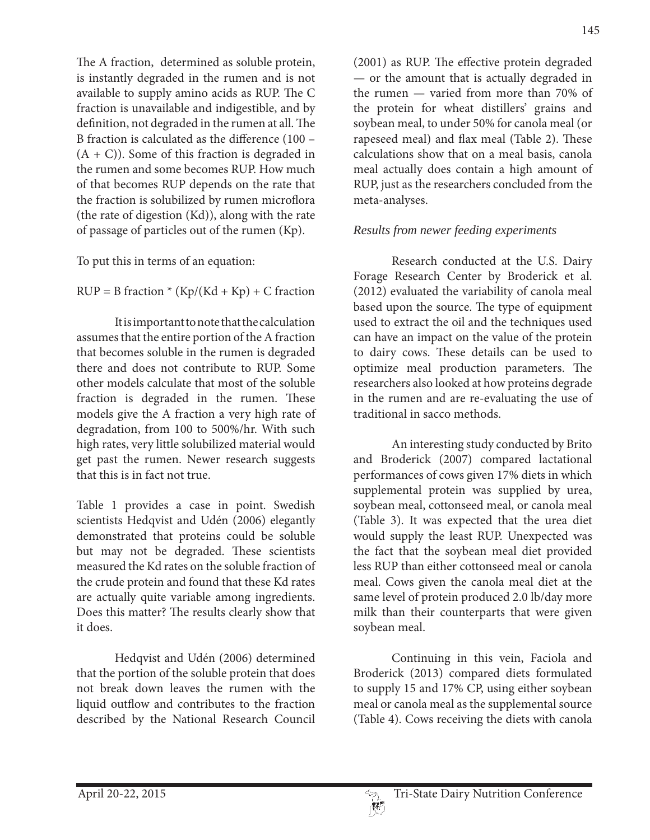The A fraction, determined as soluble protein, is instantly degraded in the rumen and is not available to supply amino acids as RUP. The C fraction is unavailable and indigestible, and by definition, not degraded in the rumen at all. The B fraction is calculated as the difference (100 –  $(A + C)$ ). Some of this fraction is degraded in the rumen and some becomes RUP. How much of that becomes RUP depends on the rate that the fraction is solubilized by rumen microflora (the rate of digestion (Kd)), along with the rate of passage of particles out of the rumen (Kp).

To put this in terms of an equation:

 $RUP = B$  fraction \*  $(Kp/(Kd + Kp) + C$  fraction

 It is important to note that the calculation assumes that the entire portion of the A fraction that becomes soluble in the rumen is degraded there and does not contribute to RUP. Some other models calculate that most of the soluble fraction is degraded in the rumen. These models give the A fraction a very high rate of degradation, from 100 to 500%/hr. With such high rates, very little solubilized material would get past the rumen. Newer research suggests that this is in fact not true.

Table 1 provides a case in point. Swedish scientists Hedqvist and Udén (2006) elegantly demonstrated that proteins could be soluble but may not be degraded. These scientists measured the Kd rates on the soluble fraction of the crude protein and found that these Kd rates are actually quite variable among ingredients. Does this matter? The results clearly show that it does.

 Hedqvist and Udén (2006) determined that the portion of the soluble protein that does not break down leaves the rumen with the liquid outflow and contributes to the fraction described by the National Research Council

(2001) as RUP. The effective protein degraded — or the amount that is actually degraded in the rumen — varied from more than 70% of the protein for wheat distillers' grains and soybean meal, to under 50% for canola meal (or rapeseed meal) and flax meal (Table 2). These calculations show that on a meal basis, canola meal actually does contain a high amount of RUP, just as the researchers concluded from the meta-analyses.

# *Results from newer feeding experiments*

 Research conducted at the U.S. Dairy Forage Research Center by Broderick et al. (2012) evaluated the variability of canola meal based upon the source. The type of equipment used to extract the oil and the techniques used can have an impact on the value of the protein to dairy cows. These details can be used to optimize meal production parameters. The researchers also looked at how proteins degrade in the rumen and are re-evaluating the use of traditional in sacco methods.

 An interesting study conducted by Brito and Broderick (2007) compared lactational performances of cows given 17% diets in which supplemental protein was supplied by urea, soybean meal, cottonseed meal, or canola meal (Table 3). It was expected that the urea diet would supply the least RUP. Unexpected was the fact that the soybean meal diet provided less RUP than either cottonseed meal or canola meal. Cows given the canola meal diet at the same level of protein produced 2.0 lb/day more milk than their counterparts that were given soybean meal.

 Continuing in this vein, Faciola and Broderick (2013) compared diets formulated to supply 15 and 17% CP, using either soybean meal or canola meal as the supplemental source (Table 4). Cows receiving the diets with canola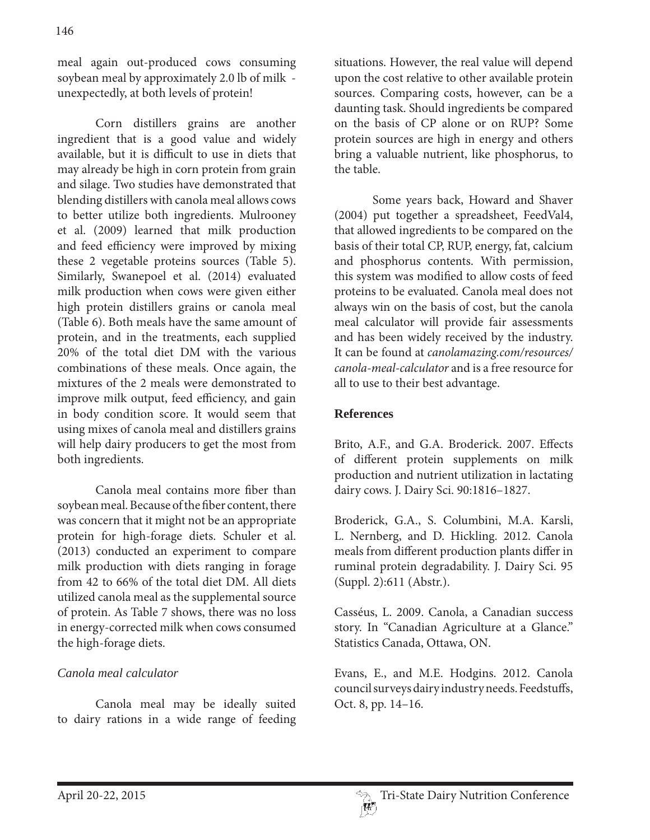meal again out-produced cows consuming soybean meal by approximately 2.0 lb of milk unexpectedly, at both levels of protein!

 Corn distillers grains are another ingredient that is a good value and widely available, but it is difficult to use in diets that may already be high in corn protein from grain and silage. Two studies have demonstrated that blending distillers with canola meal allows cows to better utilize both ingredients. Mulrooney et al. (2009) learned that milk production and feed efficiency were improved by mixing these 2 vegetable proteins sources (Table 5). Similarly, Swanepoel et al. (2014) evaluated milk production when cows were given either high protein distillers grains or canola meal (Table 6). Both meals have the same amount of protein, and in the treatments, each supplied 20% of the total diet DM with the various combinations of these meals. Once again, the mixtures of the 2 meals were demonstrated to improve milk output, feed efficiency, and gain in body condition score. It would seem that using mixes of canola meal and distillers grains will help dairy producers to get the most from both ingredients.

 Canola meal contains more fiber than soybean meal. Because of the fiber content, there was concern that it might not be an appropriate protein for high-forage diets. Schuler et al. (2013) conducted an experiment to compare milk production with diets ranging in forage from 42 to 66% of the total diet DM. All diets utilized canola meal as the supplemental source of protein. As Table 7 shows, there was no loss in energy-corrected milk when cows consumed the high-forage diets.

### *Canola meal calculator*

 Canola meal may be ideally suited to dairy rations in a wide range of feeding

situations. However, the real value will depend upon the cost relative to other available protein sources. Comparing costs, however, can be a daunting task. Should ingredients be compared on the basis of CP alone or on RUP? Some protein sources are high in energy and others bring a valuable nutrient, like phosphorus, to the table.

 Some years back, Howard and Shaver (2004) put together a spreadsheet, FeedVal4, that allowed ingredients to be compared on the basis of their total CP, RUP, energy, fat, calcium and phosphorus contents. With permission, this system was modified to allow costs of feed proteins to be evaluated. Canola meal does not always win on the basis of cost, but the canola meal calculator will provide fair assessments and has been widely received by the industry. It can be found at *canolamazing.com/resources/ canola-meal-calculator* and is a free resource for all to use to their best advantage.

#### **References**

Brito, A.F., and G.A. Broderick. 2007. Effects of different protein supplements on milk production and nutrient utilization in lactating dairy cows. J. Dairy Sci. 90:1816–1827.

Broderick, G.A., S. Columbini, M.A. Karsli, L. Nernberg, and D. Hickling. 2012. Canola meals from different production plants differ in ruminal protein degradability. J. Dairy Sci. 95 (Suppl. 2):611 (Abstr.).

Casséus, L. 2009. Canola, a Canadian success story. In "Canadian Agriculture at a Glance." Statistics Canada, Ottawa, ON.

Evans, E., and M.E. Hodgins. 2012. Canola council surveys dairy industry needs. Feedstuffs, Oct. 8, pp. 14–16.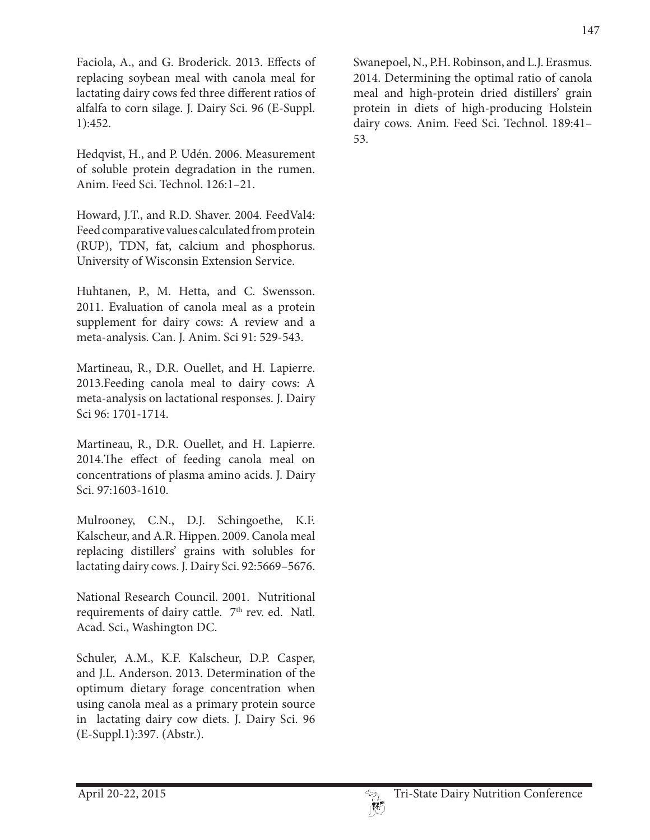Faciola, A., and G. Broderick. 2013. Effects of replacing soybean meal with canola meal for lactating dairy cows fed three different ratios of alfalfa to corn silage. J. Dairy Sci. 96 (E-Suppl. 1):452.

Hedqvist, H., and P. Udén. 2006. Measurement of soluble protein degradation in the rumen. Anim. Feed Sci. Technol. 126:1–21.

Howard, J.T., and R.D. Shaver. 2004. FeedVal4: Feed comparative values calculated from protein (RUP), TDN, fat, calcium and phosphorus. University of Wisconsin Extension Service.

Huhtanen, P., M. Hetta, and C. Swensson. 2011. Evaluation of canola meal as a protein supplement for dairy cows: A review and a meta-analysis. Can. J. Anim. Sci 91: 529-543.

Martineau, R., D.R. Ouellet, and H. Lapierre. 2013.Feeding canola meal to dairy cows: A meta-analysis on lactational responses. J. Dairy Sci 96: 1701-1714.

Martineau, R., D.R. Ouellet, and H. Lapierre. 2014.The effect of feeding canola meal on concentrations of plasma amino acids. J. Dairy Sci. 97:1603-1610.

Mulrooney, C.N., D.J. Schingoethe, K.F. Kalscheur, and A.R. Hippen. 2009. Canola meal replacing distillers' grains with solubles for lactating dairy cows. J. Dairy Sci. 92:5669–5676.

National Research Council. 2001. Nutritional requirements of dairy cattle. 7<sup>th</sup> rev. ed. Natl. Acad. Sci., Washington DC.

Schuler, A.M., K.F. Kalscheur, D.P. Casper, and J.L. Anderson. 2013. Determination of the optimum dietary forage concentration when using canola meal as a primary protein source in lactating dairy cow diets. J. Dairy Sci. 96 (E-Suppl.1):397. (Abstr.).

Swanepoel, N., P.H. Robinson, and L.J. Erasmus. 2014. Determining the optimal ratio of canola meal and high-protein dried distillers' grain protein in diets of high-producing Holstein dairy cows. Anim. Feed Sci. Technol. 189:41– 53.

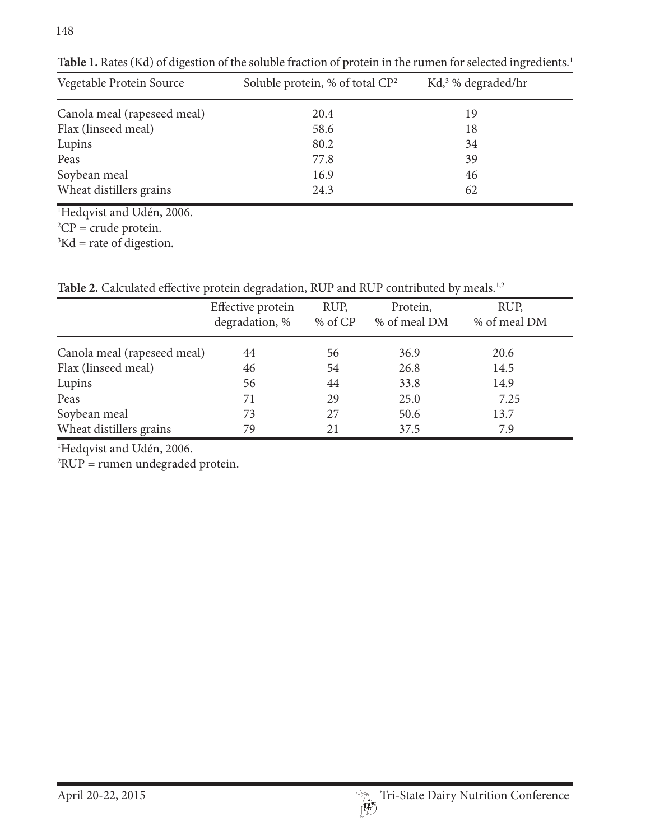| Vegetable Protein Source    | Soluble protein, % of total $\mathbb{C}P^2$ | $Kd1$ <sup>3</sup> % degraded/hr |
|-----------------------------|---------------------------------------------|----------------------------------|
| Canola meal (rapeseed meal) | 20.4                                        | 19                               |
| Flax (linseed meal)         | 58.6                                        | 18                               |
| Lupins                      | 80.2                                        | 34                               |
| Peas                        | 77.8                                        | 39                               |
| Soybean meal                | 16.9                                        | 46                               |
| Wheat distillers grains     | 24.3                                        | 62                               |

Table 1. Rates (Kd) of digestion of the soluble fraction of protein in the rumen for selected ingredients.<sup>1</sup>

1 Hedqvist and Udén, 2006.

 ${}^{2}CP$  = crude protein.

 ${}^{3}$ Kd = rate of digestion.

Table 2. Calculated effective protein degradation, RUP and RUP contributed by meals.<sup>1,2</sup>

|                             | Effective protein<br>degradation, % | RUP,<br>% of CP | Protein,<br>% of meal DM | RUP,<br>% of meal DM |
|-----------------------------|-------------------------------------|-----------------|--------------------------|----------------------|
| Canola meal (rapeseed meal) | 44                                  | 56              | 36.9                     | 20.6                 |
| Flax (linseed meal)         | 46                                  | 54              | 26.8                     | 14.5                 |
| Lupins                      | 56                                  | 44              | 33.8                     | 14.9                 |
| Peas                        | 71                                  | 29              | 25.0                     | 7.25                 |
| Soybean meal                | 73                                  | 27              | 50.6                     | 13.7                 |
| Wheat distillers grains     | 79                                  | 21              | 37.5                     | 7.9                  |

1 Hedqvist and Udén, 2006.

2 RUP = rumen undegraded protein.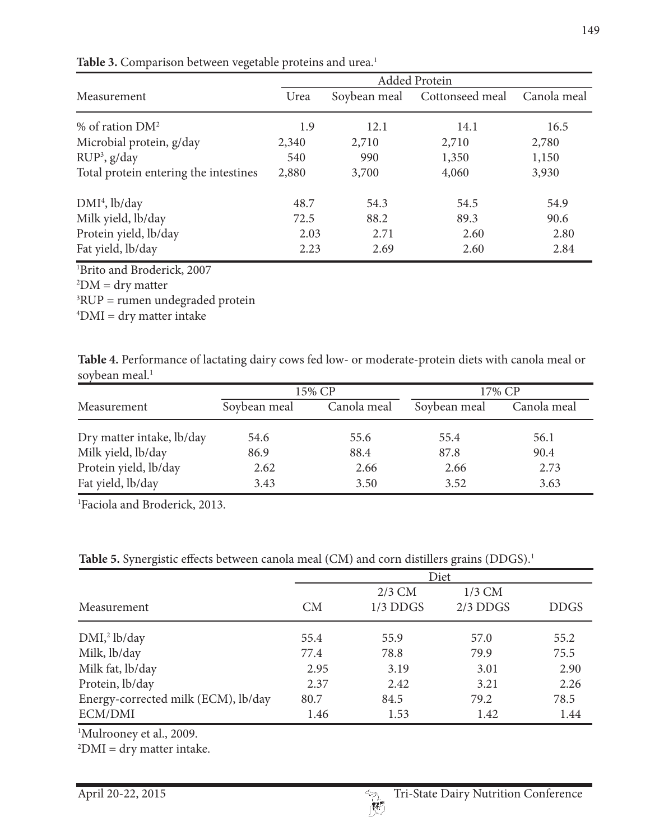|                                                                                            | Added Protein |              |                 |             |  |  |
|--------------------------------------------------------------------------------------------|---------------|--------------|-----------------|-------------|--|--|
| Measurement                                                                                | Urea          | Soybean meal | Cottonseed meal | Canola meal |  |  |
| % of ration $DM^2$                                                                         | 1.9           | 12.1         | 14.1            | 16.5        |  |  |
| Microbial protein, g/day                                                                   | 2,340         | 2,710        | 2,710           | 2,780       |  |  |
| $RUP^3$ , g/day                                                                            | 540           | 990          | 1,350           | 1,150       |  |  |
| Total protein entering the intestines                                                      | 2,880         | 3,700        | 4,060           | 3,930       |  |  |
| $DMI4$ , lb/day                                                                            | 48.7          | 54.3         | 54.5            | 54.9        |  |  |
| Milk yield, lb/day                                                                         | 72.5          | 88.2         | 89.3            | 90.6        |  |  |
| Protein yield, lb/day                                                                      | 2.03          | 2.71         | 2.60            | 2.80        |  |  |
|                                                                                            | 2.23          | 2.69         | 2.60            | 2.84        |  |  |
| Fat yield, lb/day<br><sup>1</sup> Brito and Broderick, 2007<br>$2DM = \frac{1}{2}m$ mottor |               |              |                 |             |  |  |

Table 3. Comparison between vegetable proteins and urea.<sup>1</sup>

 $2$ DM = dry matter

3 RUP = rumen undegraded protein

 $\mathrm{^{4}DMI} = \mathrm{dry}$  matter intake

**Table 4.** Performance of lactating dairy cows fed low- or moderate-protein diets with canola meal or soybean meal.<sup>1</sup>

|                                             |              | 15% CP       | 17% CP       |              |  |
|---------------------------------------------|--------------|--------------|--------------|--------------|--|
| Measurement                                 | Soybean meal | Canola meal  | Soybean meal | Canola meal  |  |
| Dry matter intake, lb/day                   | 54.6         | 55.6         | 55.4         | 56.1         |  |
| Milk yield, lb/day<br>Protein yield, lb/day | 86.9<br>2.62 | 88.4<br>2.66 | 87.8<br>2.66 | 90.4<br>2.73 |  |
| Fat yield, lb/day                           | 3.43         | 3.50         | 3.52         | 3.63         |  |

1 Faciola and Broderick, 2013.

Table 5. Synergistic effects between canola meal (CM) and corn distillers grains (DDGS).<sup>1</sup>

|                                     | Diet |            |            |             |  |  |
|-------------------------------------|------|------------|------------|-------------|--|--|
|                                     |      | $2/3$ CM   | $1/3$ CM   |             |  |  |
| Measurement                         | CM   | $1/3$ DDGS | $2/3$ DDGS | <b>DDGS</b> |  |  |
| DMI <sub>2</sub> lb/day             | 55.4 | 55.9       | 57.0       | 55.2        |  |  |
| Milk, lb/day                        | 77.4 | 78.8       | 79.9       | 75.5        |  |  |
| Milk fat, lb/day                    | 2.95 | 3.19       | 3.01       | 2.90        |  |  |
| Protein, lb/day                     | 2.37 | 2.42       | 3.21       | 2.26        |  |  |
| Energy-corrected milk (ECM), lb/day | 80.7 | 84.5       | 79.2       | 78.5        |  |  |
| ECM/DMI                             | 1.46 | 1.53       | 1.42       | 1.44        |  |  |

1 Mulrooney et al., 2009.

 $^{2}$ DMI = dry matter intake.